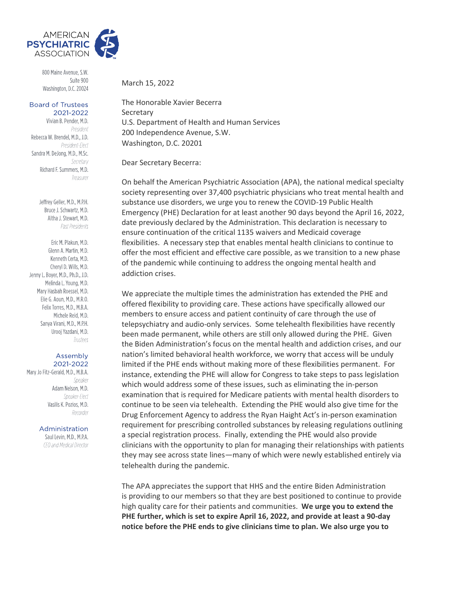

800 Maine Avenue, S.W. Suite 900 Washington, D.C. 20024

## **Board of Trustees** 2021-2022

Vivian B. Pender, M.D. President Rebecca W. Brendel, M.D., J.D. President-Elect Sandra M. DeJong, M.D., M.Sc. Secretary Richard F. Summers, M.D. Treasurer

> Jeffrey Geller, M.D., M.P.H. Bruce J. Schwartz, M.D. Altha J. Stewart, M.D. Past Presidents

Eric M. Plakun, M.D. Glenn A. Martin, M.D. Kenneth Certa, M.D. Cheryl D. Wills, M.D. Jenny L. Boyer, M.D., Ph.D., J.D. Melinda L. Young, M.D. Mary Hasbah Roessel, M.D. Elie G. Aoun. M.D., M.R.O. Felix Torres, M.D., M.B.A. Michele Reid, M.D. Sanya Virani, M.D., M.P.H. Urooj Yazdani, M.D. Trustees

## Assembly 2021-2022

Mary Jo Fitz-Gerald, M.D., M.B.A. Speaker Adam Nelson, M.D. Speaker-Flect Vasilis K. Pozios, M.D. Recorder

Administration

Saul Levin, M.D., M.P.A. CEO and Medical Director March 15, 2022

The Honorable Xavier Becerra Secretary U.S. Department of Health and Human Services 200 Independence Avenue, S.W. Washington, D.C. 20201

Dear Secretary Becerra:

 ensure continuation of the critical 1135 waivers and Medicaid coverage On behalf the American Psychiatric Association (APA), the national medical specialty society representing over 37,400 psychiatric physicians who treat mental health and substance use disorders, we urge you to renew the COVID-19 Public Health Emergency (PHE) Declaration for at least another 90 days beyond the April 16, 2022, date previously declared by the Administration. This declaration is necessary to flexibilities. A necessary step that enables mental health clinicians to continue to offer the most efficient and effective care possible, as we transition to a new phase of the pandemic while continuing to address the ongoing mental health and addiction crises.

 instance, extending the PHE will allow for Congress to take steps to pass legislation We appreciate the multiple times the administration has extended the PHE and offered flexibility to providing care. These actions have specifically allowed our members to ensure access and patient continuity of care through the use of telepsychiatry and audio-only services. Some telehealth flexibilities have recently been made permanent, while others are still only allowed during the PHE. Given the Biden Administration's focus on the mental health and addiction crises, and our nation's limited behavioral health workforce, we worry that access will be unduly limited if the PHE ends without making more of these flexibilities permanent. For which would address some of these issues, such as eliminating the in-person examination that is required for Medicare patients with mental health disorders to continue to be seen via telehealth. Extending the PHE would also give time for the Drug Enforcement Agency to address the Ryan Haight Act's in-person examination requirement for prescribing controlled substances by releasing regulations outlining a special registration process. Finally, extending the PHE would also provide clinicians with the opportunity to plan for managing their relationships with patients they may see across state lines—many of which were newly established entirely via telehealth during the pandemic.

 **notice before the PHE ends to give clinicians time to plan. We also urge you to**The APA appreciates the support that HHS and the entire Biden Administration is providing to our members so that they are best positioned to continue to provide high quality care for their patients and communities.  **We urge you to extend the PHE further, which is set to expire April 16, 2022, and provide at least a 90-day**